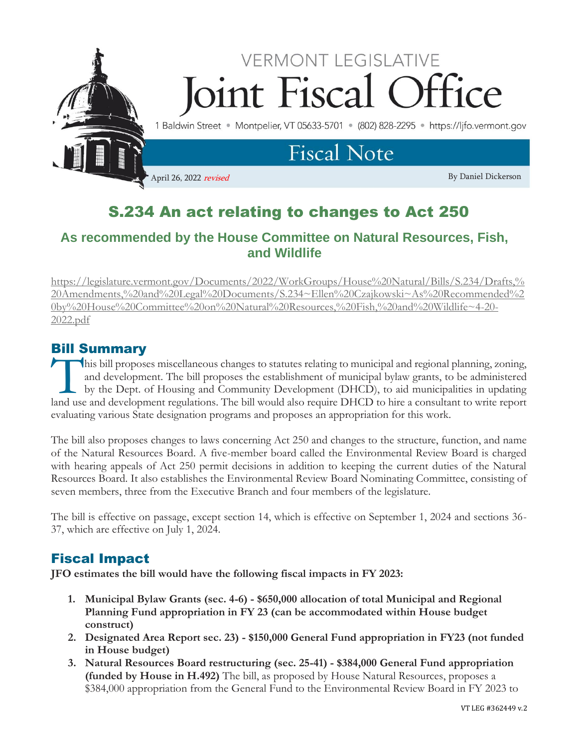

# S.234 An act relating to changes to Act 250

## **As recommended by the House Committee on Natural Resources, Fish, and Wildlife**

[https://legislature.vermont.gov/Documents/2022/WorkGroups/House%20Natural/Bills/S.234/Drafts,%](https://legislature.vermont.gov/Documents/2022/WorkGroups/House%20Natural/Bills/S.234/Drafts,%20Amendments,%20and%20Legal%20Documents/S.234~Ellen%20Czajkowski~As%20Recommended%20by%20House%20Committee%20on%20Natural%20Resources,%20Fish,%20and%20Wildlife~4-20-2022.pdf) [20Amendments,%20and%20Legal%20Documents/S.234~Ellen%20Czajkowski~As%20Recommended%2](https://legislature.vermont.gov/Documents/2022/WorkGroups/House%20Natural/Bills/S.234/Drafts,%20Amendments,%20and%20Legal%20Documents/S.234~Ellen%20Czajkowski~As%20Recommended%20by%20House%20Committee%20on%20Natural%20Resources,%20Fish,%20and%20Wildlife~4-20-2022.pdf) [0by%20House%20Committee%20on%20Natural%20Resources,%20Fish,%20and%20Wildlife~4-20-](https://legislature.vermont.gov/Documents/2022/WorkGroups/House%20Natural/Bills/S.234/Drafts,%20Amendments,%20and%20Legal%20Documents/S.234~Ellen%20Czajkowski~As%20Recommended%20by%20House%20Committee%20on%20Natural%20Resources,%20Fish,%20and%20Wildlife~4-20-2022.pdf) [2022.pdf](https://legislature.vermont.gov/Documents/2022/WorkGroups/House%20Natural/Bills/S.234/Drafts,%20Amendments,%20and%20Legal%20Documents/S.234~Ellen%20Czajkowski~As%20Recommended%20by%20House%20Committee%20on%20Natural%20Resources,%20Fish,%20and%20Wildlife~4-20-2022.pdf)

## Bill Summary

his bill proposes miscellaneous changes to statutes relating to municipal and regional planning, zoning, and development. The bill proposes the establishment of municipal bylaw grants, to be administered by the Dept. of Housing and Community Development (DHCD), to aid municipalities in updating This bill proposes miscellaneous changes to statutes relating to municipal and regional planning, zoning, and development. The bill proposes the establishment of municipal bylaw grants, to be administered by the Dept. of H evaluating various State designation programs and proposes an appropriation for this work.

The bill also proposes changes to laws concerning Act 250 and changes to the structure, function, and name of the Natural Resources Board. A five-member board called the Environmental Review Board is charged with hearing appeals of Act 250 permit decisions in addition to keeping the current duties of the Natural Resources Board. It also establishes the Environmental Review Board Nominating Committee, consisting of seven members, three from the Executive Branch and four members of the legislature.

The bill is effective on passage, except section 14, which is effective on September 1, 2024 and sections 36- 37, which are effective on July 1, 2024.

## Fiscal Impact

**JFO estimates the bill would have the following fiscal impacts in FY 2023:**

- **1. Municipal Bylaw Grants (sec. 4-6) - \$650,000 allocation of total Municipal and Regional Planning Fund appropriation in FY 23 (can be accommodated within House budget construct)**
- **2. Designated Area Report sec. 23) - \$150,000 General Fund appropriation in FY23 (not funded in House budget)**
- **3. Natural Resources Board restructuring (sec. 25-41) - \$384,000 General Fund appropriation (funded by House in H.492)** The bill, as proposed by House Natural Resources, proposes a \$384,000 appropriation from the General Fund to the Environmental Review Board in FY 2023 to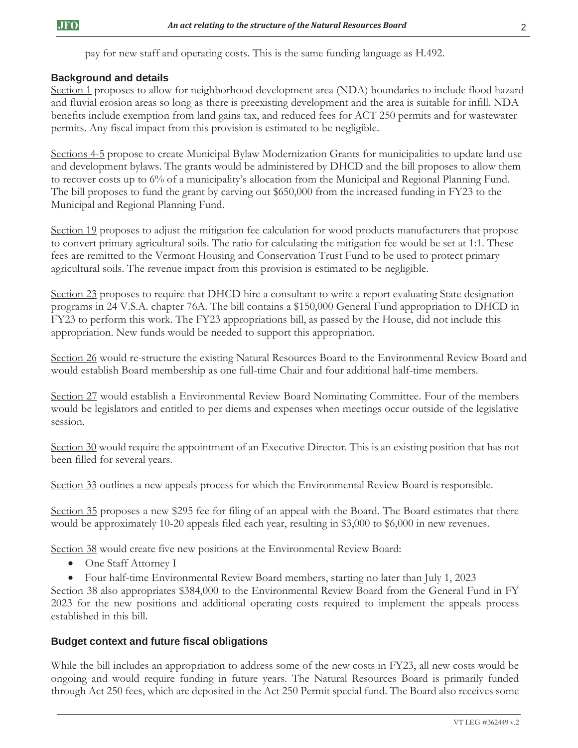pay for new staff and operating costs. This is the same funding language as H.492.

#### **Background and details**

Section 1 proposes to allow for neighborhood development area (NDA) boundaries to include flood hazard and fluvial erosion areas so long as there is preexisting development and the area is suitable for infill. NDA benefits include exemption from land gains tax, and reduced fees for ACT 250 permits and for wastewater permits. Any fiscal impact from this provision is estimated to be negligible.

Sections 4-5 propose to create Municipal Bylaw Modernization Grants for municipalities to update land use and development bylaws. The grants would be administered by DHCD and the bill proposes to allow them to recover costs up to 6% of a municipality's allocation from the Municipal and Regional Planning Fund. The bill proposes to fund the grant by carving out \$650,000 from the increased funding in FY23 to the Municipal and Regional Planning Fund.

Section 19 proposes to adjust the mitigation fee calculation for wood products manufacturers that propose to convert primary agricultural soils. The ratio for calculating the mitigation fee would be set at 1:1. These fees are remitted to the Vermont Housing and Conservation Trust Fund to be used to protect primary agricultural soils. The revenue impact from this provision is estimated to be negligible.

Section 23 proposes to require that DHCD hire a consultant to write a report evaluating State designation programs in 24 V.S.A. chapter 76A. The bill contains a \$150,000 General Fund appropriation to DHCD in FY23 to perform this work. The FY23 appropriations bill, as passed by the House, did not include this appropriation. New funds would be needed to support this appropriation.

Section 26 would re-structure the existing Natural Resources Board to the Environmental Review Board and would establish Board membership as one full-time Chair and four additional half-time members.

Section 27 would establish a Environmental Review Board Nominating Committee. Four of the members would be legislators and entitled to per diems and expenses when meetings occur outside of the legislative session.

Section 30 would require the appointment of an Executive Director. This is an existing position that has not been filled for several years.

Section 33 outlines a new appeals process for which the Environmental Review Board is responsible.

Section 35 proposes a new \$295 fee for filing of an appeal with the Board. The Board estimates that there would be approximately 10-20 appeals filed each year, resulting in \$3,000 to \$6,000 in new revenues.

Section 38 would create five new positions at the Environmental Review Board:

- One Staff Attorney I
- Four half-time Environmental Review Board members, starting no later than July 1, 2023

Section 38 also appropriates \$384,000 to the Environmental Review Board from the General Fund in FY 2023 for the new positions and additional operating costs required to implement the appeals process established in this bill.

#### **Budget context and future fiscal obligations**

While the bill includes an appropriation to address some of the new costs in FY23, all new costs would be ongoing and would require funding in future years. The Natural Resources Board is primarily funded through Act 250 fees, which are deposited in the Act 250 Permit special fund. The Board also receives some